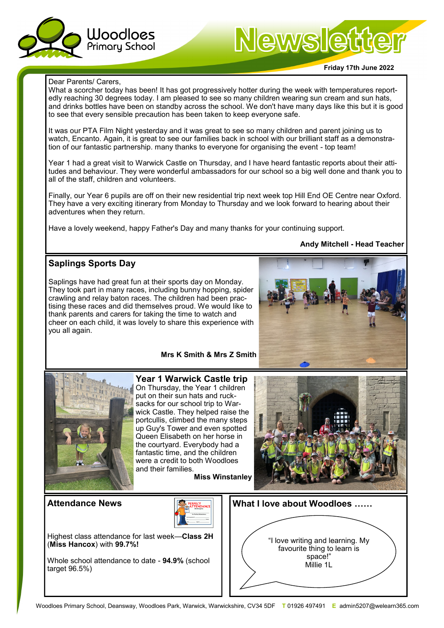

# Newsletter

#### **Friday 17th June 2022**

#### Dear Parents/ Carers,

What a scorcher today has been! It has got progressively hotter during the week with temperatures reportedly reaching 30 degrees today. I am pleased to see so many children wearing sun cream and sun hats, and drinks bottles have been on standby across the school. We don't have many days like this but it is good to see that every sensible precaution has been taken to keep everyone safe.

It was our PTA Film Night yesterday and it was great to see so many children and parent joining us to watch, Encanto. Again, it is great to see our families back in school with our brilliant staff as a demonstration of our fantastic partnership. many thanks to everyone for organising the event - top team!

Year 1 had a great visit to Warwick Castle on Thursday, and I have heard fantastic reports about their attitudes and behaviour. They were wonderful ambassadors for our school so a big well done and thank you to all of the staff, children and volunteers.

Finally, our Year 6 pupils are off on their new residential trip next week top Hill End OE Centre near Oxford. They have a very exciting itinerary from Monday to Thursday and we look forward to hearing about their adventures when they return.

Have a lovely weekend, happy Father's Day and many thanks for your continuing support.

#### **Andy Mitchell - Head Teacher**

# **Saplings Sports Day**

Saplings have had great fun at their sports day on Monday. They took part in many races, including bunny hopping, spider crawling and relay baton races. The children had been practising these races and did themselves proud. We would like to thank parents and carers for taking the time to watch and cheer on each child, it was lovely to share this experience with you all again.

#### **Mrs K Smith & Mrs Z Smith**



**Year 1 Warwick Castle trip** On Thursday, the Year 1 children put on their sun hats and rucksacks for our school trip to Warwick Castle. They helped raise the portcullis, climbed the many steps up Guy's Tower and even spotted Queen Elisabeth on her horse in the courtyard. Everybody had a fantastic time, and the children were a credit to both Woodloes and their families.

**Miss Winstanley**



#### **Attendance News**



Highest class attendance for last week—**Class 2H**  (**Miss Hancox**) with **99.7%!**

Whole school attendance to date - **94.9%** (school target 96.5%)